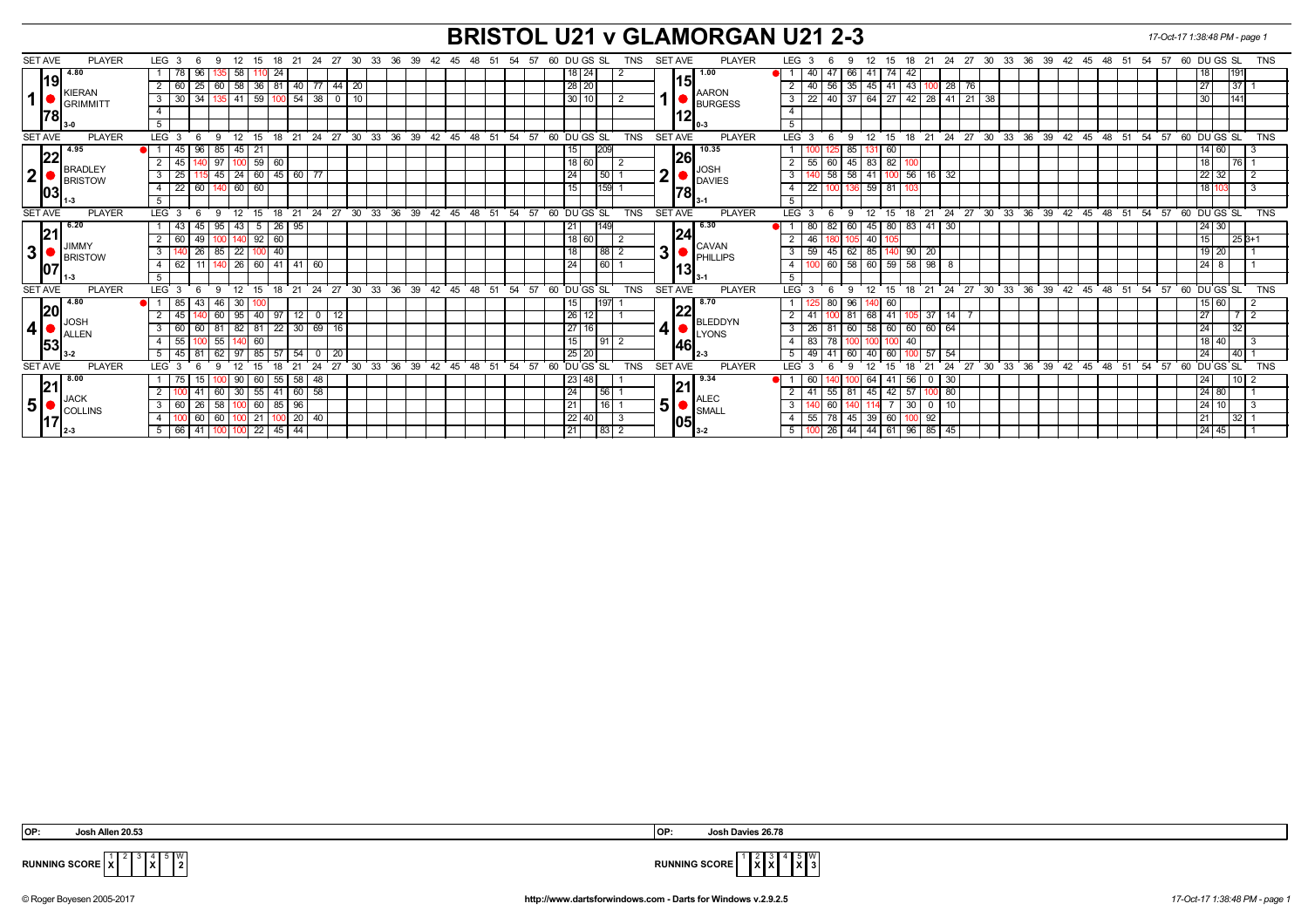## **BRISTOL U21 v GLAMORGAN U21 2-3** *17-Oct-17 1:38:48 PM - page 1*

| <b>SET AVE</b><br><b>PLAYER</b>                | LEG <sub>3</sub> |                          |                    | 9                                    | 12                                                     | 15      |              | 18 21          |                | 24 27 30 |              |  | 33                            | 36 39 |  |       | 42 45 48 51   |            |    | 54 57 |    |      |                 | 60 DU GS SL |                                         | TNS        |                | <b>SET AVE</b>   |                         | <b>PLAYER</b>              |                | LEG <sub>3</sub>         |                   |                | 12<br>9  | 15            | 18 21               |                |                             | 24 27 30       |    |    |    | 33 36 39 42 45 48 51                |         |    |        | 54 57 |         | 60 DU GS SL                          |         | <b>TNS</b> |
|------------------------------------------------|------------------|--------------------------|--------------------|--------------------------------------|--------------------------------------------------------|---------|--------------|----------------|----------------|----------|--------------|--|-------------------------------|-------|--|-------|---------------|------------|----|-------|----|------|-----------------|-------------|-----------------------------------------|------------|----------------|------------------|-------------------------|----------------------------|----------------|--------------------------|-------------------|----------------|----------|---------------|---------------------|----------------|-----------------------------|----------------|----|----|----|-------------------------------------|---------|----|--------|-------|---------|--------------------------------------|---------|------------|
| 4.80                                           |                  | 78                       | 96                 |                                      | 58                                                     |         | 24           |                |                |          |              |  |                               |       |  |       |               |            |    |       |    |      | $18$   24       |             |                                         |            |                |                  |                         | 1.00                       |                |                          | 40                |                | 66       | -74           | 42                  |                |                             |                |    |    |    |                                     |         |    |        |       |         | 18                                   |         |            |
| 19                                             |                  | 60                       | 25                 | 60                                   | 58                                                     | 36      | 81           | 40             | -77            |          | $44 \mid 20$ |  |                               |       |  |       |               |            |    |       |    |      | 28 20           |             |                                         |            |                | 151              |                         |                            |                |                          | 40                | 56             | 35       | $45 \mid 41$  | 43                  | 28             | 76                          |                |    |    |    |                                     |         |    |        |       |         | 27                                   | 371     |            |
| <b>KIERAN</b><br>1<br><b>GRIMMITT</b><br>178   |                  | $3 \overline{30}$        | 34                 |                                      | 41                                                     | 59      |              | 54             | - 38           |          | $0$   10     |  |                               |       |  |       |               |            |    |       |    |      | 30              |             |                                         |            |                |                  |                         | <b>AARON</b>               |                | $\mathbf{3}$             | $22 \mid 40 \mid$ |                | 37       |               |                     |                | 64   27   42   28   41   21 | 38             |    |    |    |                                     |         |    |        |       |         | $\begin{array}{c} 30 \\ \end{array}$ | 1141    |            |
|                                                | $\overline{4}$   |                          |                    |                                      |                                                        |         |              |                |                |          |              |  |                               |       |  |       |               |            |    |       |    |      |                 |             |                                         |            |                |                  |                         | <b>BURGESS</b>             |                | $\overline{4}$           |                   |                |          |               |                     |                |                             |                |    |    |    |                                     |         |    |        |       |         |                                      |         |            |
|                                                | 5 <sup>5</sup>   |                          |                    |                                      |                                                        |         |              |                |                |          |              |  |                               |       |  |       |               |            |    |       |    |      |                 |             |                                         |            |                | 12               |                         |                            |                | $\overline{5}$           |                   |                |          |               |                     |                |                             |                |    |    |    |                                     |         |    |        |       |         |                                      |         |            |
| <b>SET AVE</b><br><b>PLAYER</b>                | LEG <sup>3</sup> |                          |                    | -9                                   | 12                                                     | 15      | $18$ 21      |                | 24             |          | 27 30        |  | 33<br>36                      | 39    |  | 42 45 |               | $48 \t 51$ |    | 54    | 57 |      |                 | 60 DU GS SL |                                         | <b>TNS</b> |                | <b>SET AVE</b>   |                         | <b>PLAYER</b>              |                | LEG <sup>®</sup>         |                   |                | 12<br>9  | 15            | 18<br>$^{\circ}$ 21 |                |                             | 24 27 30 33 36 |    |    |    | $39 \t 42 \t 45 \t 48 \t 51$        |         |    |        | 54 57 |         | 60 DUGS SL                           |         | <b>TNS</b> |
| 4.95                                           |                  | 45                       | 96                 | 85                                   | 45                                                     | -21     |              |                |                |          |              |  |                               |       |  |       |               |            |    |       |    |      | 15              | 209         |                                         |            |                |                  |                         | 10.35                      |                |                          |                   |                | 85<br>15 | 60            |                     |                |                             |                |    |    |    |                                     |         |    |        |       |         | 14 60                                |         |            |
| 22                                             |                  | 45                       |                    | 97                                   | 100                                                    | $59$ 60 |              |                |                |          |              |  |                               |       |  |       |               |            |    |       |    |      | $18$ 60         |             |                                         |            |                | 26               |                         |                            |                |                          | 55<br>60          |                | 45       | $83 \mid 82$  |                     |                |                             |                |    |    |    |                                     |         |    |        |       |         | 18                                   | 76 1    |            |
| <b>BRADLEY</b><br> 2 <br><b>BRISTOW</b><br>103 |                  | $3 \mid 25$              |                    | $45 \mid 24$                         |                                                        |         |              | 60 45 60 77    |                |          |              |  |                               |       |  |       |               |            |    |       |    |      | 24              |             | 50                                      |            | 2              |                  |                         |                            |                | 3                        |                   | 58             | 58<br>41 |               |                     | $100$ 56 16 32 |                             |                |    |    |    |                                     |         |    |        |       |         | 22 32                                | l 2     |            |
|                                                |                  | $4 \overline{22}$        | 60                 |                                      | 60                                                     | 60      |              |                |                |          |              |  |                               |       |  |       |               |            |    |       |    |      | 15              |             | 159                                     |            |                | 78               |                         | DAVIES                     | $\overline{4}$ |                          | $\overline{22}$   |                | 136      | $59$ 81       |                     |                |                             |                |    |    |    |                                     |         |    |        |       |         | l 18 l'                              | l 3     |            |
|                                                | 5                |                          |                    |                                      |                                                        |         |              |                |                |          |              |  |                               |       |  |       |               |            |    |       |    |      |                 |             |                                         |            |                |                  |                         |                            |                | 5                        |                   |                |          |               |                     |                |                             |                |    |    |    |                                     |         |    |        |       |         |                                      |         |            |
| <b>SET AVE</b><br><b>PLAYER</b>                | LEG <sub>3</sub> |                          |                    | -9                                   | 12                                                     | 15      | 18           | 21             |                |          |              |  | 24 27 30 33 36 39 42 45 48 51 |       |  |       |               |            |    | 54 57 |    |      |                 | 60 DU GS SL |                                         | <b>TNS</b> |                | <b>SET AVE</b>   |                         | <b>PLAYER</b>              |                | <b>LEG</b>               | $\mathbf{3}$      |                | 12<br>9  | 15            | 18 21               |                |                             |                |    |    |    | 24 27 30 33 36 39 42 45 48 51       |         |    |        | 54 57 |         | 60 DU GS SL                          |         | <b>TNS</b> |
| 6.20                                           |                  | 43                       | 45                 | 95                                   | 43                                                     | 5       | 26           | 95             |                |          |              |  |                               |       |  |       |               |            |    |       |    |      | 21              |             | 149                                     |            |                |                  |                         | 6.30                       |                |                          | 80                | 82             | 60       | 45   80       | 83  <br>41          | 30             |                             |                |    |    |    |                                     |         |    |        |       |         | 24 30                                |         |            |
| 21                                             |                  | $2 \mid 60$              | 49                 | 100 140 92 60                        |                                                        |         |              |                |                |          |              |  |                               |       |  |       |               |            |    |       |    |      | 18 60           |             |                                         |            |                | 24               |                         |                            |                |                          | 46 1              |                | 105      | 40            |                     |                |                             |                |    |    |    |                                     |         |    |        |       |         | 15 <sup>1</sup>                      | $25B+1$ |            |
| <b>JIMMY</b><br>$\mathbf{3}$<br><b>BRISTOW</b> | 3 I              |                          | 26                 | $\overline{22}$<br>85 I              | 40                                                     |         | 41   41   60 |                |                |          |              |  |                               |       |  |       |               |            |    |       |    | 88 2 | 3               |             | <b>CAVAN</b><br>$\blacksquare$ PHILLIPS |            | 3              | 59               | 45                      | 62                         | 85             | $90 \mid 20$             |                   |                |          |               |                     |                |                             |                |    |    |    |                                     | 19   20 |    |        |       |         |                                      |         |            |
| 107                                            |                  | $4 \overline{62}$        | 11   140   26   60 |                                      |                                                        |         |              |                |                |          |              |  |                               |       |  |       |               |            |    |       | 24 |      |                 | 60          |                                         |            |                | 131              |                         |                            | $\overline{4}$ | 100 60                   |                   | 58 60 59 58 98 |          |               |                     |                |                             |                |    |    |    |                                     |         |    |        |       | $124$ 8 |                                      |         |            |
|                                                | 5                |                          |                    |                                      |                                                        |         |              |                |                |          |              |  |                               |       |  |       |               |            |    |       |    |      |                 |             |                                         |            |                |                  |                         | 5                          |                |                          |                   |                |          |               |                     |                |                             |                |    |    |    |                                     |         |    |        |       |         |                                      |         |            |
| <b>SET AVE</b><br><b>PLAYER</b>                | LEG <sup>3</sup> |                          | - 6                | - 9                                  | 12                                                     | ີ 15    |              | 18 21 24 27 30 |                |          |              |  | ີ 33                          | 36 39 |  |       | $42$ 45 48 51 |            |    | 54 57 |    |      |                 | 60 DUGS SL  |                                         | <b>TNS</b> |                | <b>SET AVE</b>   |                         | <b>PLAYER</b>              |                | LEG <sub>3</sub>         |                   |                | 9        | $12 \quad 15$ |                     |                |                             |                |    |    |    | 18 21 24 27 30 33 36 39 42 45 48 51 |         |    |        | 54 57 |         | 60 DUGS SL                           |         | <b>TNS</b> |
| 4.80                                           |                  | 85                       | 43                 |                                      | 30                                                     |         |              |                |                |          |              |  |                               |       |  |       |               |            |    |       |    |      |                 |             |                                         |            |                |                  |                         | 8.70                       |                |                          |                   |                | 96       | 60            |                     |                |                             |                |    |    |    |                                     |         |    |        |       |         | $15$ 60                              |         |            |
| 20                                             |                  | 45                       |                    | 60                                   | 95                                                     | 40      | 97           | 12             | $\overline{0}$ | 12       |              |  |                               |       |  |       |               |            |    |       |    |      | 26              | 12          |                                         |            |                | 22               |                         |                            |                |                          |                   |                | 81       | $68 \mid 41$  | 37                  | 14 I           |                             |                |    |    |    |                                     |         |    |        |       |         | 27                                   | 712     |            |
| ∥JOSH<br>$ 4 $ $\bullet$ $\frac{10}{2}$ Allen  |                  | $3 \mid 60$              | 60                 |                                      | 82                                                     | 81      | 22           | 30             | 69             | 16       |              |  |                               |       |  |       |               |            |    |       |    |      | 27 16           |             |                                         |            | 4              |                  |                         | BLEDDYN<br>$\bigcup$ LYONS |                | $\overline{3}$           | 26                |                | 60       | $58$ 60       | 60                  | 60 64          |                             |                |    |    |    |                                     |         |    |        |       |         | $\sqrt{24}$                          | 32      |            |
| 53                                             |                  | $4 \overline{55}$        |                    | 55                                   | 140                                                    | 60      |              |                |                |          |              |  |                               |       |  |       |               |            |    |       |    |      | 15              |             | $91$   2                                |            |                | 146 <sub>1</sub> |                         |                            | $\overline{4}$ |                          | 83                | 78             |          |               | 40                  |                |                             |                |    |    |    |                                     |         |    |        |       |         | 18 40                                |         |            |
|                                                |                  | $5 \mid 45$              | 8'                 | 62                                   | 97                                                     | 85      | 57           | 54             | $\Omega$       | 20       |              |  |                               |       |  |       |               |            |    |       |    |      | 25 20           |             |                                         |            |                |                  |                         |                            |                | 5                        | 49 41             |                | 60       | 40<br>60      | .57                 | 54             |                             |                |    |    |    |                                     |         |    |        |       |         | 24                                   | 40      |            |
| <b>SET AVE</b><br><b>PLAYER</b>                | LEG <sub>3</sub> |                          |                    |                                      |                                                        |         |              |                | 24             | 27       | 30           |  | 33<br>36                      | 39    |  | 42    | 45            | 48         | 51 | 54    | 57 | 60   |                 | DU GS SL    |                                         | <b>TNS</b> |                | <b>SET AVE</b>   |                         | <b>PLAYER</b>              |                | <b>LEG</b>               |                   |                |          |               | 21                  | 24             | 27                          | 30             | 33 | 36 | 39 | 42                                  | 45      | 48 | 51     | 54    | 57      | 60 DU GS SL                          |         | <b>TNS</b> |
| 8.00                                           |                  | 75                       |                    |                                      | 90                                                     | 60      | -55 I        | 58             | 48             |          |              |  |                               |       |  |       |               |            |    |       |    |      | 1231            | 48          |                                         |            |                |                  |                         | l 9.34                     |                |                          |                   |                |          | 64<br>  41    | 56<br>U             | -30            |                             |                |    |    |    |                                     |         |    |        |       |         | 24                                   | 1012    |            |
| 21                                             |                  |                          |                    | 30 <sup>2</sup><br>41 60<br>55<br>60 |                                                        | 58      |              |                |                |          |              |  |                               |       |  |       |               |            |    | 24    |    | 56   |                 |             | 21                                      |            |                |                  |                         |                            |                | 81                       | $45$   $42$   57  |                | -80      |               |                     |                |                             |                |    |    |    |                                     |         |    | 124180 |       |         |                                      |         |            |
| <b>JACK</b><br> 5                              |                  | $3 \mid 60$              | 26                 | 58                                   | 60<br>85<br>96<br>1001<br>$\overline{20}$<br>21<br>-40 |         |              |                |                |          |              |  |                               |       |  |       |               |            |    |       |    |      | 21              |             | 16                                      |            | 5 <sup>1</sup> |                  |                         | <b>ALEC</b><br>SMALI       |                | 3                        |                   | 60             |          |               | 30<br>- 0           |                |                             |                |    |    |    |                                     |         |    |        |       |         | 12411                                |         |            |
| <b>COLLINS</b>                                 | 4                |                          | 60                 | 60                                   |                                                        |         |              |                |                |          |              |  |                               |       |  |       |               | $22$ 40    |    |       |    |      |                 |             | -4                                      |            | 55             | .78 <sub>1</sub> | 45                      | $39$ 60                    | 92             |                          |                   |                |          |               |                     |                |                             |                |    |    |    | 21                                  | 32      |    |        |       |         |                                      |         |            |
| $\mathsf{I}2-3$                                |                  | 5 66 41 100 100 22 45 44 |                    |                                      |                                                        |         |              |                |                |          |              |  |                               |       |  |       |               |            |    |       |    |      | $\overline{21}$ |             | 83 2                                    |            |                |                  | <b>1051</b><br>$13 - 2$ |                            | 5              | 100 26 44 44 61 96 85 45 |                   |                |          |               |                     |                |                             |                |    |    |    |                                     |         |    |        |       | 24 45   |                                      |         |            |

 3 4 **X**  $\mathbb{I}^{\mathsf{w}}_2$ 



**RUNNING SCORE**  $\frac{1}{x}$